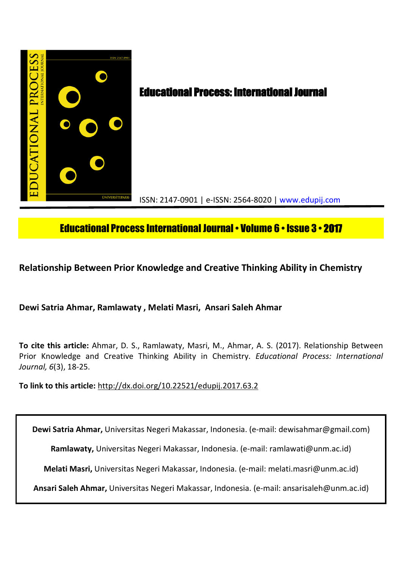

# Educational Process International Journal• Volume 6 • Issue 3 • **2017**

**Relationship Between Prior Knowledge and Creative Thinking Ability in Chemistry**

**Dewi Satria Ahmar, Ramlawaty , Melati Masri, Ansari Saleh Ahmar**

**To cite this article:** Ahmar, D. S., Ramlawaty, Masri, M., Ahmar, A. S. (2017). Relationship Between Prior Knowledge and Creative Thinking Ability in Chemistry. *Educational Process: International Journal, 6*(3), 18-25.

**To link to this article:** http://dx.doi.org/10.22521/edupij.2017.63.2

**Dewi Satria Ahmar,** Universitas Negeri Makassar, Indonesia. (e-mail: dewisahmar@gmail.com)

**Ramlawaty,** Universitas Negeri Makassar, Indonesia. (e-mail: ramlawati@unm.ac.id)

**Melati Masri,** Universitas Negeri Makassar, Indonesia. (e-mail: melati.masri@unm.ac.id)

**Ansari Saleh Ahmar,** Universitas Negeri Makassar, Indonesia. (e-mail: ansarisaleh@unm.ac.id)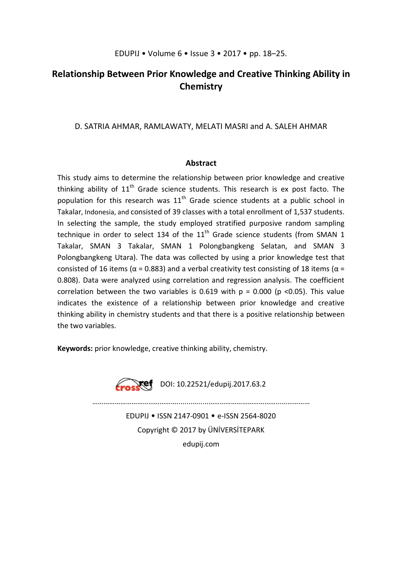# **Relationship Between Prior Knowledge and Creative Thinking Ability in Chemistry**

# D. SATRIA AHMAR, RAMLAWATY, MELATI MASRI and A. SALEH AHMAR

# **Abstract**

This study aims to determine the relationship between prior knowledge and creative thinking ability of  $11<sup>th</sup>$  Grade science students. This research is ex post facto. The population for this research was  $11<sup>th</sup>$  Grade science students at a public school in Takalar, Indonesia, and consisted of 39 classes with a total enrollment of 1,537 students. In selecting the sample, the study employed stratified purposive random sampling technique in order to select 134 of the  $11<sup>th</sup>$  Grade science students (from SMAN 1 Takalar, SMAN 3 Takalar, SMAN 1 Polongbangkeng Selatan, and SMAN 3 Polongbangkeng Utara). The data was collected by using a prior knowledge test that consisted of 16 items ( $\alpha$  = 0.883) and a verbal creativity test consisting of 18 items ( $\alpha$  = 0.808). Data were analyzed using correlation and regression analysis. The coefficient correlation between the two variables is 0.619 with  $p = 0.000$  ( $p < 0.05$ ). This value indicates the existence of a relationship between prior knowledge and creative thinking ability in chemistry students and that there is a positive relationship between the two variables.

**Keywords:** prior knowledge, creative thinking ability, chemistry.



 $\sum$ **Yef** DOI: 10.22521/edupij.2017.63.2

EDUPIJ • ISSN 2147-0901 • e-ISSN 2564-8020 Copyright © 2017 by ÜNİVERSİTEPARK edupij.com

………………………………………........….....………………………………...……………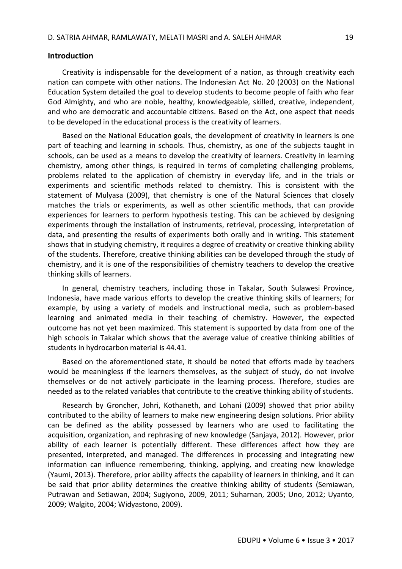## **Introduction**

Creativity is indispensable for the development of a nation, as through creativity each nation can compete with other nations. The Indonesian Act No. 20 (2003) on the National Education System detailed the goal to develop students to become people of faith who fear God Almighty, and who are noble, healthy, knowledgeable, skilled, creative, independent, and who are democratic and accountable citizens. Based on the Act, one aspect that needs to be developed in the educational process is the creativity of learners.

Based on the National Education goals, the development of creativity in learners is one part of teaching and learning in schools. Thus, chemistry, as one of the subjects taught in schools, can be used as a means to develop the creativity of learners. Creativity in learning chemistry, among other things, is required in terms of completing challenging problems, problems related to the application of chemistry in everyday life, and in the trials or experiments and scientific methods related to chemistry. This is consistent with the statement of Mulyasa (2009), that chemistry is one of the Natural Sciences that closely matches the trials or experiments, as well as other scientific methods, that can provide experiences for learners to perform hypothesis testing. This can be achieved by designing experiments through the installation of instruments, retrieval, processing, interpretation of data, and presenting the results of experiments both orally and in writing. This statement shows that in studying chemistry, it requires a degree of creativity or creative thinking ability of the students. Therefore, creative thinking abilities can be developed through the study of chemistry, and it is one of the responsibilities of chemistry teachers to develop the creative thinking skills of learners.

In general, chemistry teachers, including those in Takalar, South Sulawesi Province, Indonesia, have made various efforts to develop the creative thinking skills of learners; for example, by using a variety of models and instructional media, such as problem-based learning and animated media in their teaching of chemistry. However, the expected outcome has not yet been maximized. This statement is supported by data from one of the high schools in Takalar which shows that the average value of creative thinking abilities of students in hydrocarbon material is 44.41.

Based on the aforementioned state, it should be noted that efforts made by teachers would be meaningless if the learners themselves, as the subject of study, do not involve themselves or do not actively participate in the learning process. Therefore, studies are needed as to the related variables that contribute to the creative thinking ability of students.

Research by Groncher, Johri, Kothaneth, and Lohani (2009) showed that prior ability contributed to the ability of learners to make new engineering design solutions. Prior ability can be defined as the ability possessed by learners who are used to facilitating the acquisition, organization, and rephrasing of new knowledge (Sanjaya, 2012). However, prior ability of each learner is potentially different. These differences affect how they are presented, interpreted, and managed. The differences in processing and integrating new information can influence remembering, thinking, applying, and creating new knowledge (Yaumi, 2013). Therefore, prior ability affects the capability of learners in thinking, and it can be said that prior ability determines the creative thinking ability of students (Semiawan, Putrawan and Setiawan, 2004; Sugiyono, 2009, 2011; Suharnan, 2005; Uno, 2012; Uyanto, 2009; Walgito, 2004; Widyastono, 2009).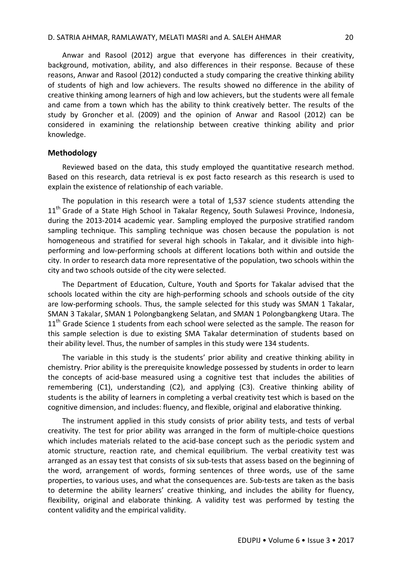Anwar and Rasool (2012) argue that everyone has differences in their creativity, background, motivation, ability, and also differences in their response. Because of these reasons, Anwar and Rasool (2012) conducted a study comparing the creative thinking ability of students of high and low achievers. The results showed no difference in the ability of creative thinking among learners of high and low achievers, but the students were all female and came from a town which has the ability to think creatively better. The results of the study by Groncher et al. (2009) and the opinion of Anwar and Rasool (2012) can be considered in examining the relationship between creative thinking ability and prior knowledge.

# **Methodology**

Reviewed based on the data, this study employed the quantitative research method. Based on this research, data retrieval is ex post facto research as this research is used to explain the existence of relationship of each variable.

The population in this research were a total of 1,537 science students attending the  $11<sup>th</sup>$  Grade of a State High School in Takalar Regency, South Sulawesi Province, Indonesia, during the 2013-2014 academic year. Sampling employed the purposive stratified random sampling technique. This sampling technique was chosen because the population is not homogeneous and stratified for several high schools in Takalar, and it divisible into highperforming and low-performing schools at different locations both within and outside the city. In order to research data more representative of the population, two schools within the city and two schools outside of the city were selected.

The Department of Education, Culture, Youth and Sports for Takalar advised that the schools located within the city are high-performing schools and schools outside of the city are low-performing schools. Thus, the sample selected for this study was SMAN 1 Takalar, SMAN 3 Takalar, SMAN 1 Polongbangkeng Selatan, and SMAN 1 Polongbangkeng Utara. The 11<sup>th</sup> Grade Science 1 students from each school were selected as the sample. The reason for this sample selection is due to existing SMA Takalar determination of students based on their ability level. Thus, the number of samples in this study were 134 students.

The variable in this study is the students' prior ability and creative thinking ability in chemistry. Prior ability is the prerequisite knowledge possessed by students in order to learn the concepts of acid-base measured using a cognitive test that includes the abilities of remembering (C1), understanding (C2), and applying (C3). Creative thinking ability of students is the ability of learners in completing a verbal creativity test which is based on the cognitive dimension, and includes: fluency, and flexible, original and elaborative thinking.

The instrument applied in this study consists of prior ability tests, and tests of verbal creativity. The test for prior ability was arranged in the form of multiple-choice questions which includes materials related to the acid-base concept such as the periodic system and atomic structure, reaction rate, and chemical equilibrium. The verbal creativity test was arranged as an essay test that consists of six sub-tests that assess based on the beginning of the word, arrangement of words, forming sentences of three words, use of the same properties, to various uses, and what the consequences are. Sub-tests are taken as the basis to determine the ability learners' creative thinking, and includes the ability for fluency, flexibility, original and elaborate thinking. A validity test was performed by testing the content validity and the empirical validity.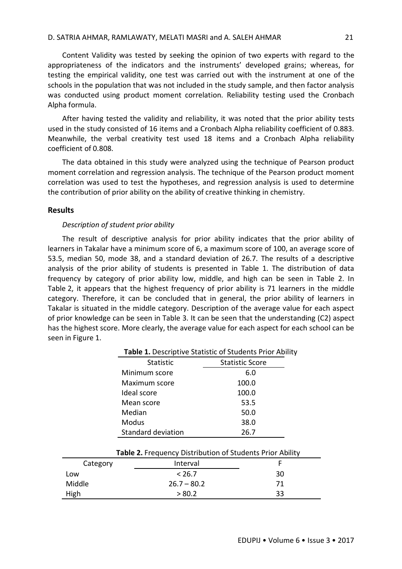Content Validity was tested by seeking the opinion of two experts with regard to the appropriateness of the indicators and the instruments' developed grains; whereas, for testing the empirical validity, one test was carried out with the instrument at one of the schools in the population that was not included in the study sample, and then factor analysis was conducted using product moment correlation. Reliability testing used the Cronbach Alpha formula.

After having tested the validity and reliability, it was noted that the prior ability tests used in the study consisted of 16 items and a Cronbach Alpha reliability coefficient of 0.883. Meanwhile, the verbal creativity test used 18 items and a Cronbach Alpha reliability coefficient of 0.808.

The data obtained in this study were analyzed using the technique of Pearson product moment correlation and regression analysis. The technique of the Pearson product moment correlation was used to test the hypotheses, and regression analysis is used to determine the contribution of prior ability on the ability of creative thinking in chemistry.

#### **Results**

#### *Description of student prior ability*

The result of descriptive analysis for prior ability indicates that the prior ability of learners in Takalar have a minimum score of 6, a maximum score of 100, an average score of 53.5, median 50, mode 38, and a standard deviation of 26.7. The results of a descriptive analysis of the prior ability of students is presented in Table 1. The distribution of data frequency by category of prior ability low, middle, and high can be seen in Table 2. In Table 2, it appears that the highest frequency of prior ability is 71 learners in the middle category. Therefore, it can be concluded that in general, the prior ability of learners in Takalar is situated in the middle category. Description of the average value for each aspect of prior knowledge can be seen in Table 3. It can be seen that the understanding (C2) aspect has the highest score. More clearly, the average value for each aspect for each school can be seen in Figure 1.

| <b>Table 1.</b> Descriptive Statistic of Students Prior Ability |                        |  |
|-----------------------------------------------------------------|------------------------|--|
| <b>Statistic</b>                                                | <b>Statistic Score</b> |  |
| Minimum score                                                   | 6.0                    |  |
| Maximum score                                                   | 100.0                  |  |
| Ideal score                                                     | 100.0                  |  |
| Mean score                                                      | 53.5                   |  |
| Median                                                          | 50.0                   |  |
| Modus                                                           | 38.0                   |  |
| Standard deviation                                              | 26.7                   |  |

| Table 2. Frequency Distribution of Students Prior Ability |               |    |
|-----------------------------------------------------------|---------------|----|
| Category                                                  | Interval      |    |
| Low                                                       | < 26.7        | 30 |
| Middle                                                    | $26.7 - 80.2$ | 71 |
| High                                                      | > 80.2        | 33 |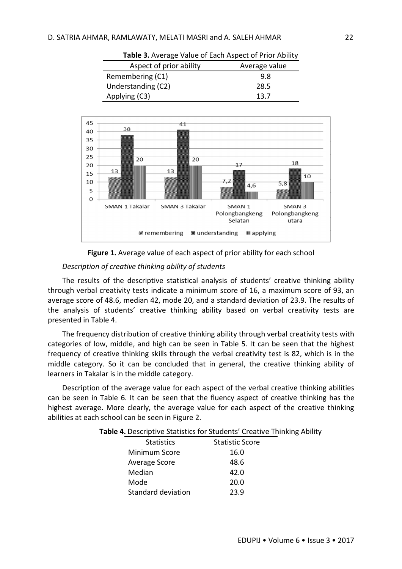| Aspect of prior ability | Average value |
|-------------------------|---------------|
| Remembering (C1)        | 9.8           |
| Understanding (C2)      | 28.5          |
| Applying (C3)           | 13 7          |



**Table 3.** Average Value of Each Aspect of Prior Ability



## *Description of creative thinking ability of students*

The results of the descriptive statistical analysis of students' creative thinking ability through verbal creativity tests indicate a minimum score of 16, a maximum score of 93, an average score of 48.6, median 42, mode 20, and a standard deviation of 23.9. The results of the analysis of students' creative thinking ability based on verbal creativity tests are presented in Table 4.

The frequency distribution of creative thinking ability through verbal creativity tests with categories of low, middle, and high can be seen in Table 5. It can be seen that the highest frequency of creative thinking skills through the verbal creativity test is 82, which is in the middle category. So it can be concluded that in general, the creative thinking ability of learners in Takalar is in the middle category.

Description of the average value for each aspect of the verbal creative thinking abilities can be seen in Table 6. It can be seen that the fluency aspect of creative thinking has the highest average. More clearly, the average value for each aspect of the creative thinking abilities at each school can be seen in Figure 2.

|  |  | Table 4. Descriptive Statistics for Students' Creative Thinking Ability |  |  |
|--|--|-------------------------------------------------------------------------|--|--|
|--|--|-------------------------------------------------------------------------|--|--|

| <b>Statistics</b>  | <b>Statistic Score</b> |
|--------------------|------------------------|
| Minimum Score      | 16.0                   |
| Average Score      | 48.6                   |
| Median             | 42.0                   |
| Mode               | 20.0                   |
| Standard deviation | 23.9                   |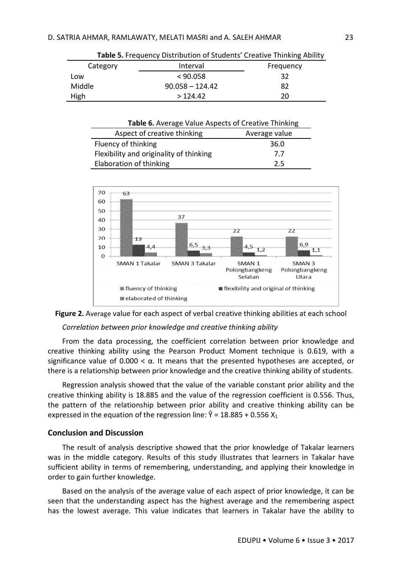| <b>TODIC STITCHNOLOGY DISCRIPTION OF SCHOOLICS CREATED FINITIALLY ANDREY</b> |                   |           |
|------------------------------------------------------------------------------|-------------------|-----------|
| Category                                                                     | Interval          | Frequency |
| Low                                                                          | < 90.058          | 32        |
| Middle                                                                       | $90.058 - 124.42$ | 82        |
| High                                                                         | >124.42           | 20        |

**Table 5.** Frequency Distribution of Students' Creative Thinking Ability

| Table 6. Average Value Aspects of Creative Thinking |               |  |
|-----------------------------------------------------|---------------|--|
| Aspect of creative thinking                         | Average value |  |
| Fluency of thinking                                 | 36.0          |  |
| Flexibility and originality of thinking             | 7.7           |  |
| Elaboration of thinking                             | 2.5           |  |





#### *Correlation between prior knowledge and creative thinking ability*

From the data processing, the coefficient correlation between prior knowledge and creative thinking ability using the Pearson Product Moment technique is 0.619, with a significance value of 0.000  $\lt \alpha$ . It means that the presented hypotheses are accepted, or there is a relationship between prior knowledge and the creative thinking ability of students.

Regression analysis showed that the value of the variable constant prior ability and the creative thinking ability is 18.885 and the value of the regression coefficient is 0.556. Thus, the pattern of the relationship between prior ability and creative thinking ability can be expressed in the equation of the regression line:  $\hat{Y} = 18.885 + 0.556 X_1$ 

# **Conclusion and Discussion**

The result of analysis descriptive showed that the prior knowledge of Takalar learners was in the middle category. Results of this study illustrates that learners in Takalar have sufficient ability in terms of remembering, understanding, and applying their knowledge in order to gain further knowledge.

Based on the analysis of the average value of each aspect of prior knowledge, it can be seen that the understanding aspect has the highest average and the remembering aspect has the lowest average. This value indicates that learners in Takalar have the ability to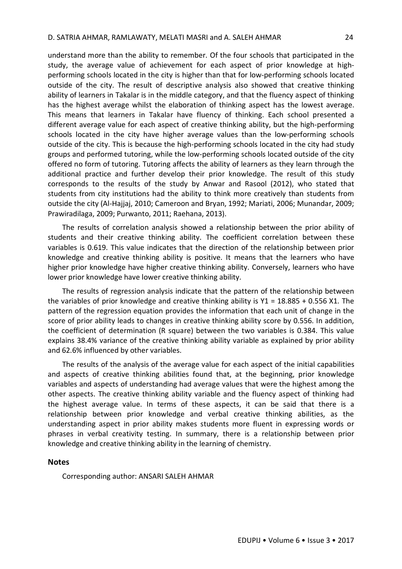understand more than the ability to remember. Of the four schools that participated in the study, the average value of achievement for each aspect of prior knowledge at highperforming schools located in the city is higher than that for low-performing schools located outside of the city. The result of descriptive analysis also showed that creative thinking ability of learners in Takalar is in the middle category, and that the fluency aspect of thinking has the highest average whilst the elaboration of thinking aspect has the lowest average. This means that learners in Takalar have fluency of thinking. Each school presented a different average value for each aspect of creative thinking ability, but the high-performing schools located in the city have higher average values than the low-performing schools outside of the city. This is because the high-performing schools located in the city had study groups and performed tutoring, while the low-performing schools located outside of the city offered no form of tutoring. Tutoring affects the ability of learners as they learn through the additional practice and further develop their prior knowledge. The result of this study corresponds to the results of the study by Anwar and Rasool (2012), who stated that students from city institutions had the ability to think more creatively than students from outside the city (Al-Hajjaj, 2010; Cameroon and Bryan, 1992; Mariati, 2006; Munandar, 2009; Prawiradilaga, 2009; Purwanto, 2011; Raehana, 2013).

The results of correlation analysis showed a relationship between the prior ability of students and their creative thinking ability. The coefficient correlation between these variables is 0.619. This value indicates that the direction of the relationship between prior knowledge and creative thinking ability is positive. It means that the learners who have higher prior knowledge have higher creative thinking ability. Conversely, learners who have lower prior knowledge have lower creative thinking ability.

The results of regression analysis indicate that the pattern of the relationship between the variables of prior knowledge and creative thinking ability is  $Y1 = 18.885 + 0.556 X1$ . The pattern of the regression equation provides the information that each unit of change in the score of prior ability leads to changes in creative thinking ability score by 0.556. In addition, the coefficient of determination (R square) between the two variables is 0.384. This value explains 38.4% variance of the creative thinking ability variable as explained by prior ability and 62.6% influenced by other variables.

The results of the analysis of the average value for each aspect of the initial capabilities and aspects of creative thinking abilities found that, at the beginning, prior knowledge variables and aspects of understanding had average values that were the highest among the other aspects. The creative thinking ability variable and the fluency aspect of thinking had the highest average value. In terms of these aspects, it can be said that there is a relationship between prior knowledge and verbal creative thinking abilities, as the understanding aspect in prior ability makes students more fluent in expressing words or phrases in verbal creativity testing. In summary, there is a relationship between prior knowledge and creative thinking ability in the learning of chemistry.

# **Notes**

Corresponding author: ANSARI SALEH AHMAR